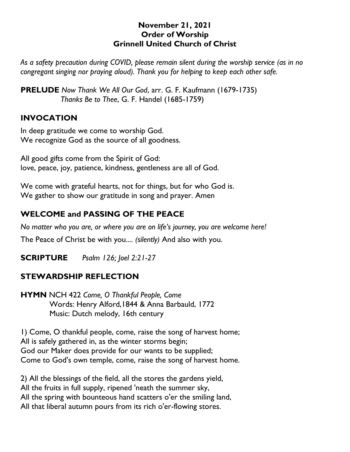#### **November 21, 2021 Order of Worship Grinnell United Church of Christ**

*As a safety precaution during COVID, please remain silent during the worship service (as in no congregant singing nor praying aloud). Thank you for helping to keep each other safe.*

**PRELUDE** *Now Thank We All Our God*, arr. G. F. Kaufmann (1679-1735) *Thanks Be to Thee*, G. F. Handel (1685-1759)

## **INVOCATION**

In deep gratitude we come to worship God. We recognize God as the source of all goodness.

All good gifts come from the Spirit of God: love, peace, joy, patience, kindness, gentleness are all of God.

We come with grateful hearts, not for things, but for who God is. We gather to show our gratitude in song and prayer. Amen

# **WELCOME and PASSING OF THE PEACE**

*No matter who you are, or where you are on life's journey, you are welcome here!*

The Peace of Christ be with you.... *(silently)* And also with you.

**SCRIPTURE** *Psalm 126; Joel 2:21-27*

## **STEWARDSHIP REFLECTION**

**HYMN** NCH 422 *Come, O Thankful People, Come* Words: Henry Alford,1844 & Anna Barbauld, 1772 Music: Dutch melody, 16th century

1) Come, O thankful people, come, raise the song of harvest home; All is safely gathered in, as the winter storms begin; God our Maker does provide for our wants to be supplied; Come to God's own temple, come, raise the song of harvest home.

2) All the blessings of the field, all the stores the gardens yield, All the fruits in full supply, ripened 'neath the summer sky, All the spring with bounteous hand scatters o'er the smiling land, All that liberal autumn pours from its rich o'er-flowing stores.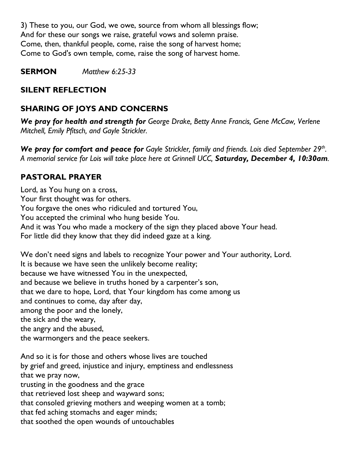3) These to you, our God, we owe, source from whom all blessings flow; And for these our songs we raise, grateful vows and solemn praise. Come, then, thankful people, come, raise the song of harvest home; Come to God's own temple, come, raise the song of harvest home.

**SERMON** *Matthew 6:25-33*

## **SILENT REFLECTION**

## **SHARING OF JOYS AND CONCERNS**

*We pray for health and strength for George Drake, Betty Anne Francis, Gene McCaw, Verlene Mitchell, Emily Pfitsch, and Gayle Strickler.*

*We pray for comfort and peace for Gayle Strickler, family and friends. Lois died September 29th . A memorial service for Lois will take place here at Grinnell UCC, Saturday, December 4, 10:30am.*

# **PASTORAL PRAYER**

Lord, as You hung on a cross, Your first thought was for others. You forgave the ones who ridiculed and tortured You, You accepted the criminal who hung beside You. And it was You who made a mockery of the sign they placed above Your head. For little did they know that they did indeed gaze at a king. We don't need signs and labels to recognize Your power and Your authority, Lord. It is because we have seen the unlikely become reality; because we have witnessed You in the unexpected, and because we believe in truths honed by a carpenter's son, that we dare to hope, Lord, that Your kingdom has come among us and continues to come, day after day, among the poor and the lonely, the sick and the weary,

the angry and the abused,

the warmongers and the peace seekers.

And so it is for those and others whose lives are touched by grief and greed, injustice and injury, emptiness and endlessness that we pray now, trusting in the goodness and the grace that retrieved lost sheep and wayward sons; that consoled grieving mothers and weeping women at a tomb; that fed aching stomachs and eager minds; that soothed the open wounds of untouchables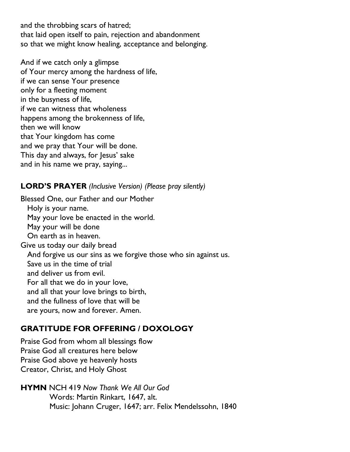and the throbbing scars of hatred; that laid open itself to pain, rejection and abandonment so that we might know healing, acceptance and belonging.

And if we catch only a glimpse of Your mercy among the hardness of life, if we can sense Your presence only for a fleeting moment in the busyness of life, if we can witness that wholeness happens among the brokenness of life, then we will know that Your kingdom has come and we pray that Your will be done. This day and always, for Jesus' sake and in his name we pray, saying...

## **LORD'S PRAYER** *(Inclusive Version) (Please pray silently)*

Blessed One, our Father and our Mother Holy is your name. May your love be enacted in the world. May your will be done On earth as in heaven. Give us today our daily bread And forgive us our sins as we forgive those who sin against us. Save us in the time of trial and deliver us from evil. For all that we do in your love, and all that your love brings to birth, and the fullness of love that will be are yours, now and forever. Amen.

## **GRATITUDE FOR OFFERING / DOXOLOGY**

Praise God from whom all blessings flow Praise God all creatures here below Praise God above ye heavenly hosts Creator, Christ, and Holy Ghost

**HYMN** NCH 419 *Now Thank We All Our God* Words: Martin Rinkart, 1647, alt. Music: Johann Cruger, 1647; arr. Felix Mendelssohn, 1840